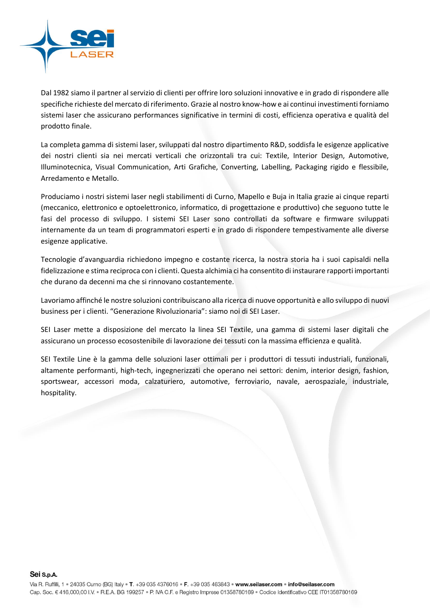

Dal 1982 siamo il partner al servizio di clienti per offrire loro soluzioni innovative e in grado di rispondere alle specifiche richieste del mercato di riferimento. Grazie al nostro know-how e ai continui investimenti forniamo sistemi laser che assicurano performances significative in termini di costi, efficienza operativa e qualità del prodotto finale.

La completa gamma di sistemi laser, sviluppati dal nostro dipartimento R&D, soddisfa le esigenze applicative dei nostri clienti sia nei mercati verticali che orizzontali tra cui: Textile, Interior Design, Automotive, Illuminotecnica, Visual Communication, Arti Grafiche, Converting, Labelling, Packaging rigido e flessibile, Arredamento e Metallo.

Produciamo i nostri sistemi laser negli stabilimenti di Curno, Mapello e Buja in Italia grazie ai cinque reparti (meccanico, elettronico e optoelettronico, informatico, di progettazione e produttivo) che seguono tutte le fasi del processo di sviluppo. I sistemi SEI Laser sono controllati da software e firmware sviluppati internamente da un team di programmatori esperti e in grado di rispondere tempestivamente alle diverse esigenze applicative.

Tecnologie d'avanguardia richiedono impegno e costante ricerca, la nostra storia ha i suoi capisaldi nella fidelizzazione e stima reciproca con i clienti. Questa alchimia ci ha consentito di instaurare rapporti importanti che durano da decenni ma che si rinnovano costantemente.

Lavoriamo affinché le nostre soluzioni contribuiscano alla ricerca di nuove opportunità e allo sviluppo di nuovi business per i clienti. "Generazione Rivoluzionaria": siamo noi di SEI Laser.

SEI Laser mette a disposizione del mercato la linea SEI Textile, una gamma di sistemi laser digitali che assicurano un processo ecosostenibile di lavorazione dei tessuti con la massima efficienza e qualità.

SEI Textile Line è la gamma delle soluzioni laser ottimali per i produttori di tessuti industriali, funzionali, altamente performanti, high-tech, ingegnerizzati che operano nei settori: denim, interior design, fashion, sportswear, accessori moda, calzaturiero, automotive, ferroviario, navale, aerospaziale, industriale, hospitality.